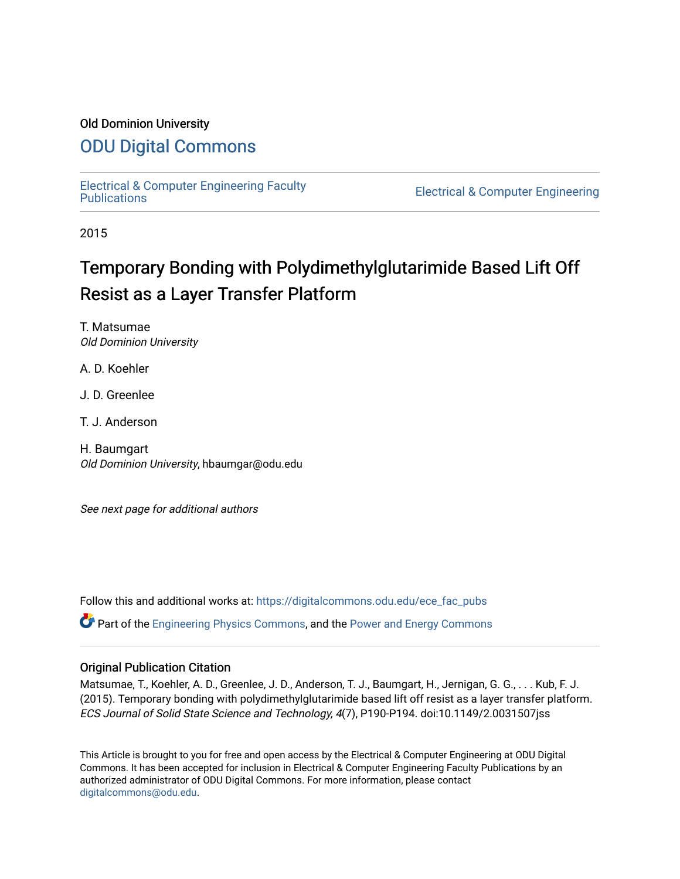## Old Dominion University

# [ODU Digital Commons](https://digitalcommons.odu.edu/)

[Electrical & Computer Engineering Faculty](https://digitalcommons.odu.edu/ece_fac_pubs) 

**Electrical & Computer Engineering** 

2015

# Temporary Bonding with Polydimethylglutarimide Based Lift Off Resist as a Layer Transfer Platform

T. Matsumae Old Dominion University

A. D. Koehler

J. D. Greenlee

T. J. Anderson

H. Baumgart Old Dominion University, hbaumgar@odu.edu

See next page for additional authors

Follow this and additional works at: [https://digitalcommons.odu.edu/ece\\_fac\\_pubs](https://digitalcommons.odu.edu/ece_fac_pubs?utm_source=digitalcommons.odu.edu%2Fece_fac_pubs%2F146&utm_medium=PDF&utm_campaign=PDFCoverPages) 

 $\bullet$  Part of the [Engineering Physics Commons](http://network.bepress.com/hgg/discipline/200?utm_source=digitalcommons.odu.edu%2Fece_fac_pubs%2F146&utm_medium=PDF&utm_campaign=PDFCoverPages), and the Power and Energy Commons

### Original Publication Citation

Matsumae, T., Koehler, A. D., Greenlee, J. D., Anderson, T. J., Baumgart, H., Jernigan, G. G., . . . Kub, F. J. (2015). Temporary bonding with polydimethylglutarimide based lift off resist as a layer transfer platform. ECS Journal of Solid State Science and Technology, 4(7), P190-P194. doi:10.1149/2.0031507jss

This Article is brought to you for free and open access by the Electrical & Computer Engineering at ODU Digital Commons. It has been accepted for inclusion in Electrical & Computer Engineering Faculty Publications by an authorized administrator of ODU Digital Commons. For more information, please contact [digitalcommons@odu.edu](mailto:digitalcommons@odu.edu).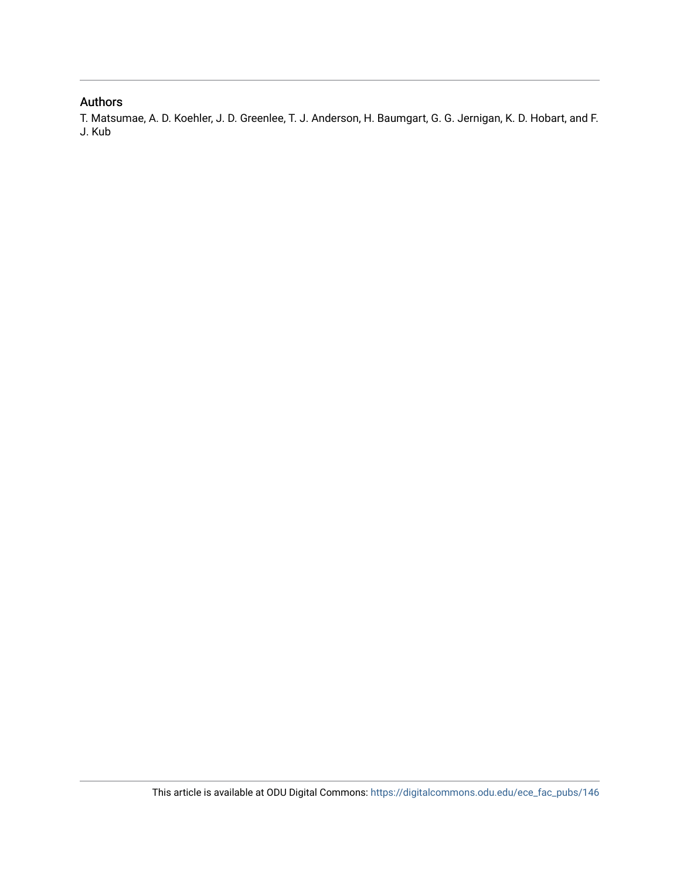## Authors

T. Matsumae, A. D. Koehler, J. D. Greenlee, T. J. Anderson, H. Baumgart, G. G. Jernigan, K. D. Hobart, and F. J. Kub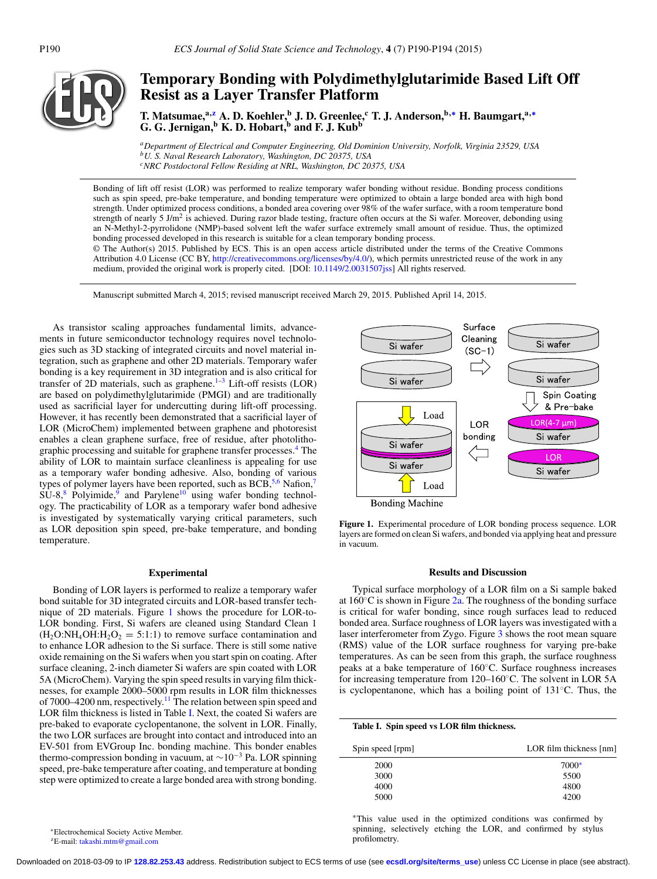

# **Temporary Bonding with Polydimethylglutarimide Based Lift Off Resist as a Layer Transfer Platform**

**T. Matsumae,a[,z](#page-2-0) A. D. Koehler,<sup>b</sup> J. D. Greenlee,<sup>c</sup> T. J. Anderson,b,[∗](#page-2-1) H. Baumgart,a,[∗](#page-2-1) G. G. Jernigan,**<sup>b</sup> **K. D. Hobart,**<sup>b</sup> and **F. J. Kub**<sup>b</sup>

*aDepartment of Electrical and Computer Engineering, Old Dominion University, Norfolk, Virginia 23529, USA bU. S. Naval Research Laboratory, Washington, DC 20375, USA cNRC Postdoctoral Fellow Residing at NRL, Washington, DC 20375, USA*

Bonding of lift off resist (LOR) was performed to realize temporary wafer bonding without residue. Bonding process conditions such as spin speed, pre-bake temperature, and bonding temperature were optimized to obtain a large bonded area with high bond strength. Under optimized process conditions, a bonded area covering over 98% of the wafer surface, with a room temperature bond strength of nearly 5 J/m<sup>2</sup> is achieved. During razor blade testing, fracture often occurs at the Si wafer. Moreover, debonding using an N-Methyl-2-pyrrolidone (NMP)-based solvent left the wafer surface extremely small amount of residue. Thus, the optimized bonding processed developed in this research is suitable for a clean temporary bonding process.

© The Author(s) 2015. Published by ECS. This is an open access article distributed under the terms of the Creative Commons Attribution 4.0 License (CC BY, [http://creativecommons.org/licenses/by/4.0/\)](http://creativecommons.org/licenses/by/4.0/), which permits unrestricted reuse of the work in any medium, provided the original work is properly cited. [DOI: [10.1149/2.0031507jss\]](http://dx.doi.org/10.1149/2.0031507jss) All rights reserved.

Manuscript submitted March 4, 2015; revised manuscript received March 29, 2015. Published April 14, 2015.

As transistor scaling approaches fundamental limits, advancements in future semiconductor technology requires novel technologies such as 3D stacking of integrated circuits and novel material integration, such as graphene and other 2D materials. Temporary wafer bonding is a key requirement in 3D integration and is also critical for transfer of 2D materials, such as graphene. $1-3$  $1-3$  Lift-off resists (LOR) are based on polydimethylglutarimide (PMGI) and are traditionally used as sacrificial layer for undercutting during lift-off processing. However, it has recently been demonstrated that a sacrificial layer of LOR (MicroChem) implemented between graphene and photoresist enables a clean graphene surface, free of residue, after photolithographic processing and suitable for graphene transfer processes.<sup>4</sup> The ability of LOR to maintain surface cleanliness is appealing for use as a temporary wafer bonding adhesive. Also, bonding of various types of polymer layers have been reported, such as BCB,<sup>5[,6](#page-6-1)</sup> Nafion,<sup>7</sup>  $\overline{\text{SU-8,8}}$  $\overline{\text{SU-8,8}}$  $\overline{\text{SU-8,8}}$  Polyimide,<sup>[9](#page-6-4)</sup> and Parylene<sup>10</sup> using wafer bonding technology. The practicability of LOR as a temporary wafer bond adhesive is investigated by systematically varying critical parameters, such as LOR deposition spin speed, pre-bake temperature, and bonding temperature.

### **Experimental**

Bonding of LOR layers is performed to realize a temporary wafer bond suitable for 3D integrated circuits and LOR-based transfer technique of 2D materials. Figure [1](#page-2-2) shows the procedure for LOR-to-LOR bonding. First, Si wafers are cleaned using Standard Clean 1  $(H_2O:NH_4OH:H_2O_2 = 5:1:1)$  to remove surface contamination and to enhance LOR adhesion to the Si surface. There is still some native oxide remaining on the Si wafers when you start spin on coating. After surface cleaning, 2-inch diameter Si wafers are spin coated with LOR 5A (MicroChem). Varying the spin speed results in varying film thicknesses, for example 2000–5000 rpm results in LOR film thicknesses of 7000–4200 nm, respectively.<sup>11</sup> The relation between spin speed and LOR film thickness is listed in Table [I.](#page-2-3) Next, the coated Si wafers are pre-baked to evaporate cyclopentanone, the solvent in LOR. Finally, the two LOR surfaces are brought into contact and introduced into an EV-501 from EVGroup Inc. bonding machine. This bonder enables thermo-compression bonding in vacuum, at  $\sim$ 10<sup>-3</sup> Pa. LOR spinning speed, pre-bake temperature after coating, and temperature at bonding step were optimized to create a large bonded area with strong bonding.

<span id="page-2-2"></span>

**Figure 1.** Experimental procedure of LOR bonding process sequence. LOR layers are formed on clean Si wafers, and bonded via applying heat and pressure in vacuum.

### **Results and Discussion**

Typical surface morphology of a LOR film on a Si sample baked at  $160\degree$ C is shown in Figure  $2a$ . The roughness of the bonding surface is critical for wafer bonding, since rough surfaces lead to reduced bonded area. Surface roughness of LOR layers was investigated with a laser interferometer from Zygo. Figure [3](#page-3-1) shows the root mean square (RMS) value of the LOR surface roughness for varying pre-bake temperatures. As can be seen from this graph, the surface roughness peaks at a bake temperature of 160◦C. Surface roughness increases for increasing temperature from 120–160◦C. The solvent in LOR 5A is cyclopentanone, which has a boiling point of 131◦C. Thus, the

<span id="page-2-3"></span>

| Table I. Spin speed vs LOR film thickness. |                         |
|--------------------------------------------|-------------------------|
| Spin speed [rpm]                           | LOR film thickness [nm] |
| 2000                                       | $7000*$                 |
| 3000                                       | 5500                    |
| 4000                                       | 4800                    |
| 5000                                       | 4200                    |

<span id="page-2-4"></span>∗This value used in the optimized conditions was confirmed by spinning, selectively etching the LOR, and confirmed by stylus profilometry.

<span id="page-2-1"></span>∗Electrochemical Society Active Member.

<span id="page-2-0"></span> ${}^zE$ -mail: [takashi.mtm@gmail.com](mailto:takashi.mtm@gmail.com)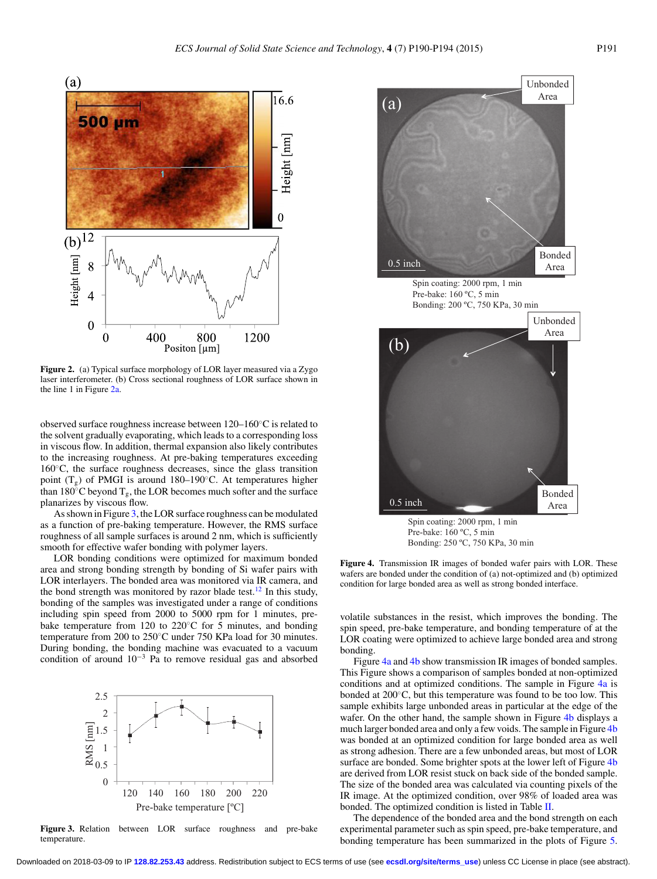<span id="page-3-0"></span>

**Figure 2.** (a) Typical surface morphology of LOR layer measured via a Zygo laser interferometer. (b) Cross sectional roughness of LOR surface shown in the line 1 in Figure [2a.](#page-3-0)

observed surface roughness increase between 120–160◦C is related to the solvent gradually evaporating, which leads to a corresponding loss in viscous flow. In addition, thermal expansion also likely contributes to the increasing roughness. At pre-baking temperatures exceeding 160◦C, the surface roughness decreases, since the glass transition point  $(T_{\sigma})$  of PMGI is around 180–190 $\degree$ C. At temperatures higher than 180 $\degree$ C beyond T<sub>g</sub>, the LOR becomes much softer and the surface planarizes by viscous flow.

As shown in Figure [3,](#page-3-1) the LOR surface roughness can be modulated as a function of pre-baking temperature. However, the RMS surface roughness of all sample surfaces is around 2 nm, which is sufficiently smooth for effective wafer bonding with polymer layers.

LOR bonding conditions were optimized for maximum bonded area and strong bonding strength by bonding of Si wafer pairs with LOR interlayers. The bonded area was monitored via IR camera, and the bond strength was monitored by razor blade test.<sup>[12](#page-6-7)</sup> In this study, bonding of the samples was investigated under a range of conditions including spin speed from 2000 to 5000 rpm for 1 minutes, prebake temperature from 120 to 220◦C for 5 minutes, and bonding temperature from 200 to 250◦C under 750 KPa load for 30 minutes. During bonding, the bonding machine was evacuated to a vacuum condition of around 10−<sup>3</sup> Pa to remove residual gas and absorbed

<span id="page-3-1"></span>

**Figure 3.** Relation between LOR surface roughness and pre-bake temperature.

<span id="page-3-2"></span>

Pre-bake: 160 ºC, 5 min Bonding: 250 ºC, 750 KPa, 30 min

**Figure 4.** Transmission IR images of bonded wafer pairs with LOR. These wafers are bonded under the condition of (a) not-optimized and (b) optimized condition for large bonded area as well as strong bonded interface.

volatile substances in the resist, which improves the bonding. The spin speed, pre-bake temperature, and bonding temperature of at the LOR coating were optimized to achieve large bonded area and strong bonding.

Figure [4a](#page-3-2) and [4b](#page-3-2) show transmission IR images of bonded samples. This Figure shows a comparison of samples bonded at non-optimized conditions and at optimized conditions. The sample in Figure [4a](#page-3-2) is bonded at 200◦C, but this temperature was found to be too low. This sample exhibits large unbonded areas in particular at the edge of the wafer. On the other hand, the sample shown in Figure [4b](#page-3-2) displays a much larger bonded area and only a few voids. The sample in Figure [4b](#page-3-2) was bonded at an optimized condition for large bonded area as well as strong adhesion. There are a few unbonded areas, but most of LOR surface are bonded. Some brighter spots at the lower left of Figure [4b](#page-3-2) are derived from LOR resist stuck on back side of the bonded sample. The size of the bonded area was calculated via counting pixels of the IR image. At the optimized condition, over 98% of loaded area was bonded. The optimized condition is listed in Table [II.](#page-4-0)

The dependence of the bonded area and the bond strength on each experimental parameter such as spin speed, pre-bake temperature, and bonding temperature has been summarized in the plots of Figure [5.](#page-4-1)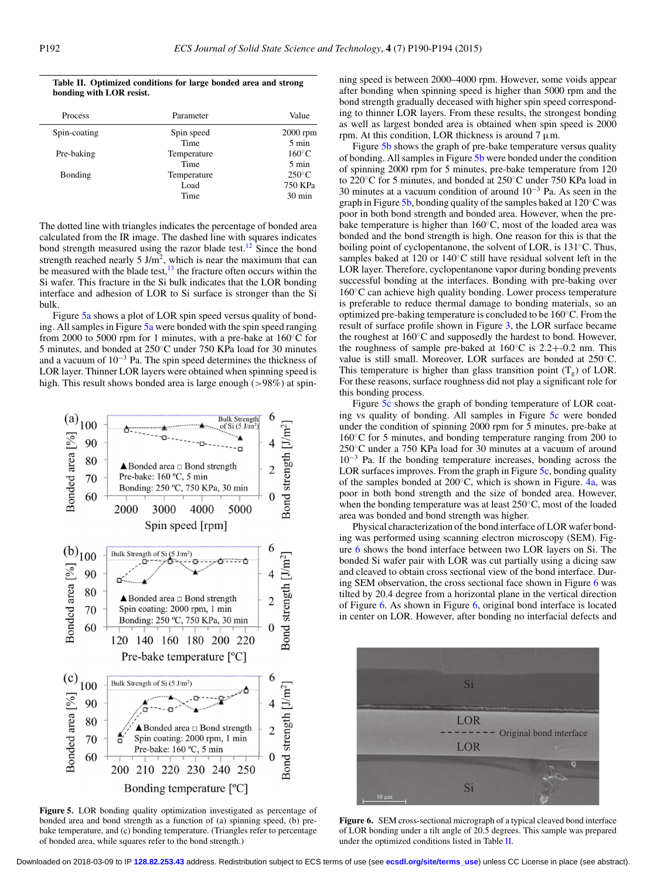<span id="page-4-0"></span>**Table II. Optimized conditions for large bonded area and strong bonding with LOR resist.**

| <b>Process</b> | Parameter   | Value            |
|----------------|-------------|------------------|
| Spin-coating   | Spin speed  | $2000$ rpm       |
|                | Time        | $5 \text{ min}$  |
| Pre-baking     | Temperature | $160^{\circ}$ C  |
|                | Time        | $5 \text{ min}$  |
| Bonding        | Temperature | $250^{\circ}$ C  |
|                | Load        | 750 KPa          |
|                | Time        | $30 \text{ min}$ |

The dotted line with triangles indicates the percentage of bonded area calculated from the IR image. The dashed line with squares indicates bond strength measured using the razor blade test.<sup>12</sup> Since the bond strength reached nearly 5 J/m<sup>2</sup>, which is near the maximum that can be measured with the blade test, $13$  the fracture often occurs within the Si wafer. This fracture in the Si bulk indicates that the LOR bonding interface and adhesion of LOR to Si surface is stronger than the Si bulk.

Figure [5a](#page-4-1) shows a plot of LOR spin speed versus quality of bonding. All samples in Figure [5a](#page-4-1) were bonded with the spin speed ranging from 2000 to 5000 rpm for 1 minutes, with a pre-bake at 160◦C for 5 minutes, and bonded at 250◦C under 750 KPa load for 30 minutes and a vacuum of 10−<sup>3</sup> Pa. The spin speed determines the thickness of LOR layer. Thinner LOR layers were obtained when spinning speed is high. This result shows bonded area is large enough (>98%) at spin-

<span id="page-4-1"></span>

**Figure 5.** LOR bonding quality optimization investigated as percentage of bonded area and bond strength as a function of (a) spinning speed, (b) prebake temperature, and (c) bonding temperature. (Triangles refer to percentage of bonded area, while squares refer to the bond strength.)

ning speed is between 2000–4000 rpm. However, some voids appear after bonding when spinning speed is higher than 5000 rpm and the bond strength gradually deceased with higher spin speed corresponding to thinner LOR layers. From these results, the strongest bonding as well as largest bonded area is obtained when spin speed is 2000 rpm. At this condition, LOR thickness is around  $7 \mu$ m.

Figure [5b](#page-4-1) shows the graph of pre-bake temperature versus quality of bonding. All samples in Figure [5b](#page-4-1) were bonded under the condition of spinning 2000 rpm for 5 minutes, pre-bake temperature from 120 to 220◦C for 5 minutes, and bonded at 250◦C under 750 KPa load in 30 minutes at a vacuum condition of around 10−<sup>3</sup> Pa. As seen in the graph in Figure [5b,](#page-4-1) bonding quality of the samples baked at 120◦C was poor in both bond strength and bonded area. However, when the prebake temperature is higher than 160◦C, most of the loaded area was bonded and the bond strength is high. One reason for this is that the boiling point of cyclopentanone, the solvent of LOR, is 131◦C. Thus, samples baked at 120 or 140℃ still have residual solvent left in the LOR layer. Therefore, cyclopentanone vapor during bonding prevents successful bonding at the interfaces. Bonding with pre-baking over 160◦C can achieve high quality bonding. Lower process temperature is preferable to reduce thermal damage to bonding materials, so an optimized pre-baking temperature is concluded to be 160◦C. From the result of surface profile shown in Figure [3,](#page-3-1) the LOR surface became the roughest at 160◦C and supposedly the hardest to bond. However, the roughness of sample pre-baked at  $160^{\circ}$ C is  $2.2 + -0.2$  nm. This value is still small. Moreover, LOR surfaces are bonded at 250◦C. This temperature is higher than glass transition point  $(T_g)$  of LOR. For these reasons, surface roughness did not play a significant role for this bonding process.

Figure [5c](#page-4-1) shows the graph of bonding temperature of LOR coating vs quality of bonding. All samples in Figure [5c](#page-4-1) were bonded under the condition of spinning 2000 rpm for 5 minutes, pre-bake at 160◦C for 5 minutes, and bonding temperature ranging from 200 to 250◦C under a 750 KPa load for 30 minutes at a vacuum of around 10−<sup>3</sup> Pa. If the bonding temperature increases, bonding across the LOR surfaces improves. From the graph in Figure [5c,](#page-4-1) bonding quality of the samples bonded at 200◦C, which is shown in Figure. [4a,](#page-3-2) was poor in both bond strength and the size of bonded area. However, when the bonding temperature was at least 250◦C, most of the loaded area was bonded and bond strength was higher.

Physical characterization of the bond interface of LOR wafer bonding was performed using scanning electron microscopy (SEM). Figure [6](#page-4-2) shows the bond interface between two LOR layers on Si. The bonded Si wafer pair with LOR was cut partially using a dicing saw and cleaved to obtain cross sectional view of the bond interface. During SEM observation, the cross sectional face shown in Figure [6](#page-4-2) was tilted by 20.4 degree from a horizontal plane in the vertical direction of Figure [6.](#page-4-2) As shown in Figure [6,](#page-4-2) original bond interface is located in center on LOR. However, after bonding no interfacial defects and

<span id="page-4-2"></span>

**Figure 6.** SEM cross-sectional micrograph of a typical cleaved bond interface of LOR bonding under a tilt angle of 20.5 degrees. This sample was prepared under the optimized conditions listed in Table [II.](#page-4-0)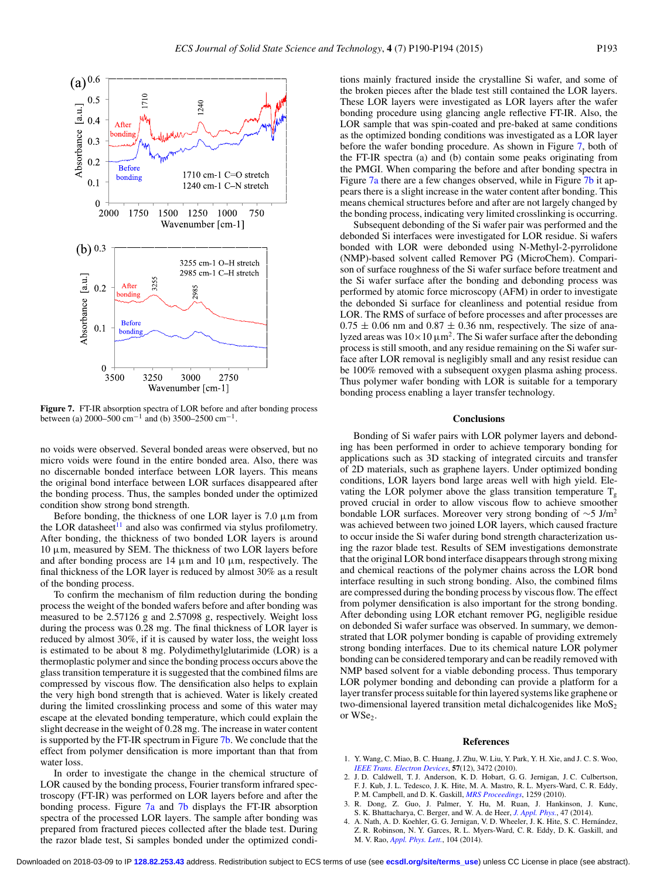<span id="page-5-3"></span>

**Figure 7.** FT-IR absorption spectra of LOR before and after bonding process between (a) 2000–500 cm<sup>-1</sup> and (b) 3500–2500 cm<sup>-1</sup>.

no voids were observed. Several bonded areas were observed, but no micro voids were found in the entire bonded area. Also, there was no discernable bonded interface between LOR layers. This means the original bond interface between LOR surfaces disappeared after the bonding process. Thus, the samples bonded under the optimized condition show strong bond strength.

Before bonding, the thickness of one LOR layer is  $7.0 \mu m$  from the LOR datasheet<sup>11</sup> and also was confirmed via stylus profilometry. After bonding, the thickness of two bonded LOR layers is around  $10 \mu$ m, measured by SEM. The thickness of two LOR layers before and after bonding process are  $14 \mu m$  and  $10 \mu m$ , respectively. The final thickness of the LOR layer is reduced by almost 30% as a result of the bonding process.

To confirm the mechanism of film reduction during the bonding process the weight of the bonded wafers before and after bonding was measured to be 2.57126 g and 2.57098 g, respectively. Weight loss during the process was 0.28 mg. The final thickness of LOR layer is reduced by almost 30%, if it is caused by water loss, the weight loss is estimated to be about 8 mg. Polydimethylglutarimide (LOR) is a thermoplastic polymer and since the bonding process occurs above the glass transition temperature it is suggested that the combined films are compressed by viscous flow. The densification also helps to explain the very high bond strength that is achieved. Water is likely created during the limited crosslinking process and some of this water may escape at the elevated bonding temperature, which could explain the slight decrease in the weight of 0.28 mg. The increase in water content is supported by the FT-IR spectrum in Figure [7b.](#page-5-3) We conclude that the effect from polymer densification is more important than that from water loss.

In order to investigate the change in the chemical structure of LOR caused by the bonding process, Fourier transform infrared spectroscopy (FT-IR) was performed on LOR layers before and after the bonding process. Figure [7a](#page-5-3) and [7b](#page-5-3) displays the FT-IR absorption spectra of the processed LOR layers. The sample after bonding was prepared from fractured pieces collected after the blade test. During the razor blade test, Si samples bonded under the optimized conditions mainly fractured inside the crystalline Si wafer, and some of the broken pieces after the blade test still contained the LOR layers. These LOR layers were investigated as LOR layers after the wafer bonding procedure using glancing angle reflective FT-IR. Also, the LOR sample that was spin-coated and pre-baked at same conditions as the optimized bonding conditions was investigated as a LOR layer before the wafer bonding procedure. As shown in Figure [7,](#page-5-3) both of the FT-IR spectra (a) and (b) contain some peaks originating from the PMGI. When comparing the before and after bonding spectra in Figure  $7a$  there are a few changes observed, while in Figure  $7b$  it appears there is a slight increase in the water content after bonding. This means chemical structures before and after are not largely changed by the bonding process, indicating very limited crosslinking is occurring.

Subsequent debonding of the Si wafer pair was performed and the debonded Si interfaces were investigated for LOR residue. Si wafers bonded with LOR were debonded using N-Methyl-2-pyrrolidone (NMP)-based solvent called Remover PG (MicroChem). Comparison of surface roughness of the Si wafer surface before treatment and the Si wafer surface after the bonding and debonding process was performed by atomic force microscopy (AFM) in order to investigate the debonded Si surface for cleanliness and potential residue from LOR. The RMS of surface of before processes and after processes are  $0.75 \pm 0.06$  nm and  $0.87 \pm 0.36$  nm, respectively. The size of analyzed areas was  $10 \times 10 \mu m^2$ . The Si wafer surface after the debonding process is still smooth, and any residue remaining on the Si wafer surface after LOR removal is negligibly small and any resist residue can be 100% removed with a subsequent oxygen plasma ashing process. Thus polymer wafer bonding with LOR is suitable for a temporary bonding process enabling a layer transfer technology.

#### **Conclusions**

Bonding of Si wafer pairs with LOR polymer layers and debonding has been performed in order to achieve temporary bonding for applications such as 3D stacking of integrated circuits and transfer of 2D materials, such as graphene layers. Under optimized bonding conditions, LOR layers bond large areas well with high yield. Elevating the LOR polymer above the glass transition temperature  $T_{g}$ proved crucial in order to allow viscous flow to achieve smoother bondable LOR surfaces. Moreover very strong bonding of  $\sim$ 5 J/m<sup>2</sup> was achieved between two joined LOR layers, which caused fracture to occur inside the Si wafer during bond strength characterization using the razor blade test. Results of SEM investigations demonstrate that the original LOR bond interface disappears through strong mixing and chemical reactions of the polymer chains across the LOR bond interface resulting in such strong bonding. Also, the combined films are compressed during the bonding process by viscous flow. The effect from polymer densification is also important for the strong bonding. After debonding using LOR etchant remover PG, negligible residue on debonded Si wafer surface was observed. In summary, we demonstrated that LOR polymer bonding is capable of providing extremely strong bonding interfaces. Due to its chemical nature LOR polymer bonding can be considered temporary and can be readily removed with NMP based solvent for a viable debonding process. Thus temporary LOR polymer bonding and debonding can provide a platform for a layer transfer process suitable for thin layered systems like graphene or two-dimensional layered transition metal dichalcogenides like  $MoS<sub>2</sub>$ or WSe<sub>2</sub>.

#### <span id="page-5-2"></span><span id="page-5-1"></span><span id="page-5-0"></span>**References**

- 1. Y. Wang, C. Miao, B. C. Huang, J. Zhu, W. Liu, Y. Park, Y. H. Xie, and J. C. S. Woo, *[IEEE Trans. Electron Devices](http://dx.doi.org/10.1109/TED.2010.2076337)*, **57**(12), 3472 (2010).
- 2. J. D. Caldwell, T. J. Anderson, K. D. Hobart, G. G. Jernigan, J. C. Culbertson, F. J. Kub, J. L. Tedesco, J. K. Hite, M. A. Mastro, R. L. Myers-Ward, C. R. Eddy, P. M. Campbell, and D. K. Gaskill, *[MRS Proceedings](http://dx.doi.org/10.1557/PROC-1259-S18-05)*, 1259 (2010).
- 3. R. Dong, Z. Guo, J. Palmer, Y. Hu, M. Ruan, J. Hankinson, J. Kunc, S. K. Bhattacharya, C. Berger, and W. A. de Heer, *[J. Appl. Phys.](http://dx.doi.org/10.1088/0022-3727/47/9/094001)*, 47 (2014).
- 4. A. Nath, A. D. Koehler, G. G. Jernigan, V. D. Wheeler, J. K. Hite, S. C. Hernandez, ´ Z. R. Robinson, N. Y. Garces, R. L. Myers-Ward, C. R. Eddy, D. K. Gaskill, and M. V. Rao, *[Appl. Phys. Lett.](http://dx.doi.org/10.1063/1.4880937)*, 104 (2014).